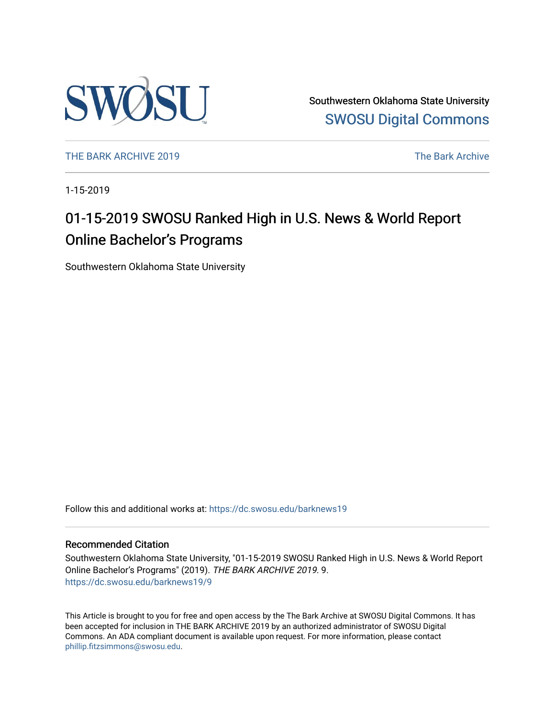

Southwestern Oklahoma State University [SWOSU Digital Commons](https://dc.swosu.edu/) 

[THE BARK ARCHIVE 2019](https://dc.swosu.edu/barknews19) The Bark Archive

1-15-2019

### 01-15-2019 SWOSU Ranked High in U.S. News & World Report Online Bachelor's Programs

Southwestern Oklahoma State University

Follow this and additional works at: [https://dc.swosu.edu/barknews19](https://dc.swosu.edu/barknews19?utm_source=dc.swosu.edu%2Fbarknews19%2F9&utm_medium=PDF&utm_campaign=PDFCoverPages)

#### Recommended Citation

Southwestern Oklahoma State University, "01-15-2019 SWOSU Ranked High in U.S. News & World Report Online Bachelor's Programs" (2019). THE BARK ARCHIVE 2019. 9. [https://dc.swosu.edu/barknews19/9](https://dc.swosu.edu/barknews19/9?utm_source=dc.swosu.edu%2Fbarknews19%2F9&utm_medium=PDF&utm_campaign=PDFCoverPages) 

This Article is brought to you for free and open access by the The Bark Archive at SWOSU Digital Commons. It has been accepted for inclusion in THE BARK ARCHIVE 2019 by an authorized administrator of SWOSU Digital Commons. An ADA compliant document is available upon request. For more information, please contact [phillip.fitzsimmons@swosu.edu](mailto:phillip.fitzsimmons@swosu.edu).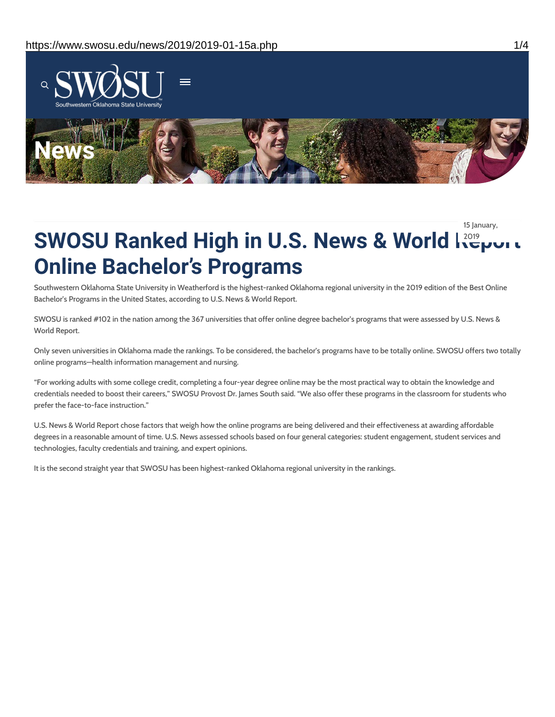

15 January,

# **SWOSU Ranked High in U.S. News & World Report** 2019 **Online Bachelor's Programs**

Southwestern Oklahoma State University in Weatherford is the highest-ranked Oklahoma regional university in the 2019 edition of the Best Online Bachelor's Programs in the United States, according to U.S. News & World Report.

SWOSU is ranked #102 in the nation among the 367 universities that offer online degree bachelor's programs that were assessed by U.S. News & World Report.

Only seven universities in Oklahoma made the rankings. To be considered, the bachelor's programs have to be totally online. SWOSU offers two totally online programs—health information management and nursing.

"For working adults with some college credit, completing a four-year degree online may be the most practical way to obtain the knowledge and credentials needed to boost their careers," SWOSU Provost Dr. James South said. "We also offer these programs in the classroom for students who prefer the face-to-face instruction."

U.S. News & World Report chose factors that weigh how the online programs are being delivered and their effectiveness at awarding affordable degrees in a reasonable amount of time. U.S. News assessed schools based on four general categories: student engagement, student services and technologies, faculty credentials and training, and expert opinions.

It is the second straight year that SWOSU has been highest-ranked Oklahoma regional university in the rankings.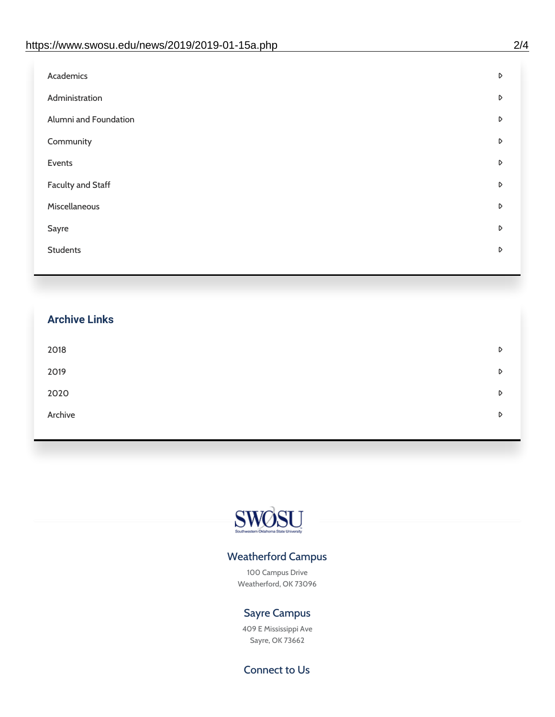| Administration<br>D<br>Alumni and Foundation<br>D<br>Community<br>D<br>Events<br>D | Academics | D |
|------------------------------------------------------------------------------------|-----------|---|
|                                                                                    |           |   |
|                                                                                    |           |   |
|                                                                                    |           |   |
|                                                                                    |           |   |
| <b>Faculty and Staff</b><br>D                                                      |           |   |
| Miscellaneous<br>D                                                                 |           |   |
| Sayre<br>D                                                                         |           |   |
| <b>Students</b><br>D                                                               |           |   |

## **Archive Links**  $2018$  $2019$ [2020](https://www.swosu.edu/news/2020/index.php)  $\bullet$ [Archive](https://dc.swosu.edu/bark/) **Archive Archive Archive Archive Archive** Archive Archive Archive Archive Archive Archive Archive Archive



### Weatherford Campus

100 Campus Drive Weatherford, OK 73096

### Sayre Campus

409 E Mississippi Ave Sayre, OK 73662

Connect to Us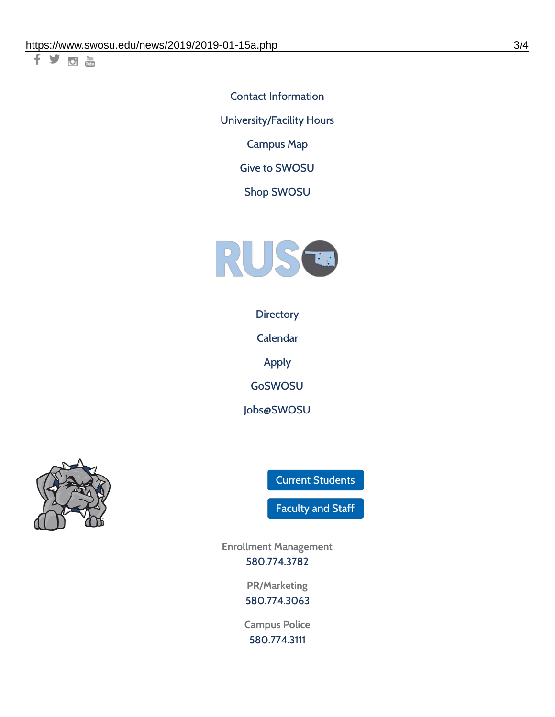千岁回调

Contact [Information](https://www.swosu.edu/about/contact.php) [University/Facility](https://www.swosu.edu/about/operating-hours.php) Hours [Campus](https://map.concept3d.com/?id=768#!ct/10964,10214,10213,10212,10205,10204,10203,10202,10136,10129,10128,0,31226,10130,10201,10641,0) Map

Give to [SWOSU](https://standingfirmly.com/donate)

Shop [SWOSU](https://shopswosu.merchorders.com/)



**[Directory](https://www.swosu.edu/directory/index.php)** 

[Calendar](https://eventpublisher.dudesolutions.com/swosu/)

[Apply](https://www.swosu.edu/admissions/apply-to-swosu.php)

[GoSWOSU](https://qlsso.quicklaunchsso.com/home/1267)

[Jobs@SWOSU](https://swosu.csod.com/ux/ats/careersite/1/home?c=swosu)



Current [Students](https://bulldog.swosu.edu/index.php)

[Faculty](https://bulldog.swosu.edu/faculty-staff/index.php) and Staff

**Enrollment Management** [580.774.3782](tel:5807743782)

> **PR/Marketing** [580.774.3063](tel:5807743063)

**Campus Police** [580.774.3111](tel:5807743111)